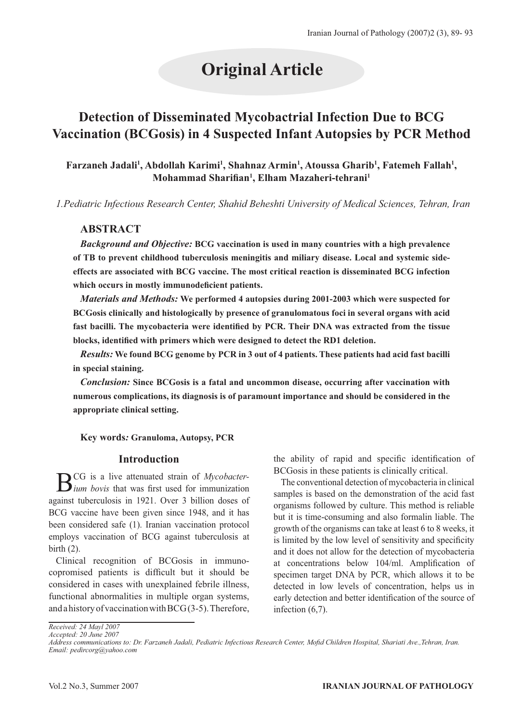# **Original Article**

# **Detection of Disseminated Mycobactrial Infection Due to BCG Vaccination (BCGosis) in 4 Suspected Infant Autopsies by PCR Method**

## Farzaneh Jadali<sup>1</sup>, Abdollah Karimi<sup>1</sup>, Shahnaz Armin<sup>1</sup>, Atoussa Gharib<sup>1</sup>, Fatemeh Fallah<sup>1</sup>, **Mohammad Sharifian1 , Elham Mazaheri-tehrani1**

*1.Pediatric Infectious Research Center, Shahid Beheshti University of Medical Sciences, Tehran, Iran*

### **ABSTRACT**

*Background and Objective:* **BCG vaccination is used in many countries with a high prevalence of TB to prevent childhood tuberculosis meningitis and miliary disease. Local and systemic sideeffects are associated with BCG vaccine. The most critical reaction is disseminated BCG infection which occurs in mostly immunodeficient patients.** 

*Materials and Methods:* **We performed 4 autopsies during 2001-2003 which were suspected for BCGosis clinically and histologically by presence of granulomatous foci in several organs with acid fast bacilli. The mycobacteria were identified by PCR. Their DNA was extracted from the tissue blocks, identified with primers which were designed to detect the RD1 deletion.** 

*Results:* **We found BCG genome by PCR in 3 out of 4 patients. These patients had acid fast bacilli in special staining.** 

*Conclusion:* **Since BCGosis is a fatal and uncommon disease, occurring after vaccination with numerous complications, its diagnosis is of paramount importance and should be considered in the appropriate clinical setting.**

#### **Key words***:* **Granuloma, Autopsy, PCR**

#### **Introduction**

BCG is a live attenuated strain of *Mycobacter-ium bovis* that was first used for immunization against tuberculosis in 1921. Over 3 billion doses of BCG vaccine have been given since 1948, and it has been considered safe (1). Iranian vaccination protocol employs vaccination of BCG against tuberculosis at birth (2).

Clinical recognition of BCGosis in immunocopromised patients is difficult but it should be considered in cases with unexplained febrile illness, functional abnormalities in multiple organ systems, and a history of vaccination with BCG (3-5). Therefore, the ability of rapid and specific identification of BCGosis in these patients is clinically critical.

The conventional detection of mycobacteria in clinical samples is based on the demonstration of the acid fast organisms followed by culture. This method is reliable but it is time-consuming and also formalin liable. The growth of the organisms can take at least 6 to 8 weeks, it is limited by the low level of sensitivity and specificity and it does not allow for the detection of mycobacteria at concentrations below 104/ml. Amplification of specimen target DNA by PCR, which allows it to be detected in low levels of concentration, helps us in early detection and better identification of the source of infection (6,7).

*Received: 24 Mayl 2007 Accepted: 20 June 2007*

*Address communications to: Dr. Farzaneh Jadali, Pediatric Infectious Research Center, Mofid Children Hospital, Shariati Ave.,Tehran, Iran. Email: pedircorg@yahoo.com*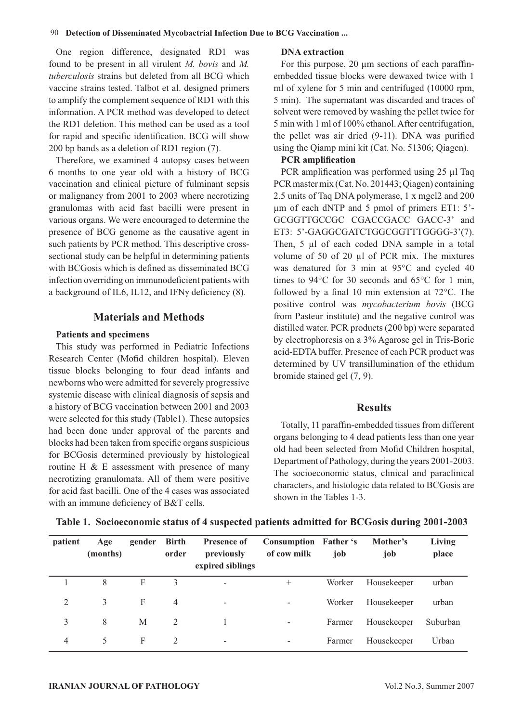One region difference, designated RD1 was found to be present in all virulent *M. bovis* and *M. tuberculosis* strains but deleted from all BCG which vaccine strains tested. Talbot et al. designed primers to amplify the complement sequence of RD1 with this information. A PCR method was developed to detect the RD1 deletion. This method can be used as a tool for rapid and specific identification. BCG will show 200 bp bands as a deletion of RD1 region (7).

Therefore, we examined 4 autopsy cases between 6 months to one year old with a history of BCG vaccination and clinical picture of fulminant sepsis or malignancy from 2001 to 2003 where necrotizing granulomas with acid fast bacilli were present in various organs. We were encouraged to determine the presence of BCG genome as the causative agent in such patients by PCR method. This descriptive crosssectional study can be helpful in determining patients with BCGosis which is defined as disseminated BCG infection overriding on immunodeficient patients with a background of IL6, IL12, and IFNγ deficiency (8).

#### **Materials and Methods**

#### **Patients and specimens**

This study was performed in Pediatric Infections Research Center (Mofid children hospital). Eleven tissue blocks belonging to four dead infants and newborns who were admitted for severely progressive systemic disease with clinical diagnosis of sepsis and a history of BCG vaccination between 2001 and 2003 were selected for this study (Table1). These autopsies had been done under approval of the parents and blocks had been taken from specific organs suspicious for BCGosis determined previously by histological routine H & E assessment with presence of many necrotizing granulomata. All of them were positive for acid fast bacilli. One of the 4 cases was associated with an immune deficiency of B&T cells.

#### **DNA extraction**

For this purpose, 20 μm sections of each paraffinembedded tissue blocks were dewaxed twice with 1 ml of xylene for 5 min and centrifuged (10000 rpm, 5 min). The supernatant was discarded and traces of solvent were removed by washing the pellet twice for 5 min with 1 ml of 100% ethanol. After centrifugation, the pellet was air dried (9-11). DNA was purified using the Qiamp mini kit (Cat. No. 51306; Qiagen).

#### **PCR amplification**

PCR amplification was performed using 25 μl Taq PCR master mix (Cat. No. 201443; Qiagen) containing 2.5 units of Taq DNA polymerase, 1 x mgcl2 and 200 μm of each dNTP and 5 pmol of primers ET1: 5'- GCGGTTGCCGC CGACCGACC GACC-3' and ET3: 5'-GAGGCGATCTGGCGGTTTGGGG-3'(7). Then, 5 μl of each coded DNA sample in a total volume of 50 of 20 μl of PCR mix. The mixtures was denatured for 3 min at 95°C and cycled 40 times to 94°C for 30 seconds and 65°C for 1 min, followed by a final 10 min extension at 72°C. The positive control was *mycobacterium bovis* (BCG from Pasteur institute) and the negative control was distilled water. PCR products (200 bp) were separated by electrophoresis on a 3% Agarose gel in Tris-Boric acid-EDTA buffer. Presence of each PCR product was determined by UV transillumination of the ethidum bromide stained gel (7, 9).

#### **Results**

Totally, 11 paraffin-embedded tissues from different organs belonging to 4 dead patients less than one year old had been selected from Mofid Children hospital, Department of Pathology, during the years 2001-2003. The socioeconomic status, clinical and paraclinical characters, and histologic data related to BCGosis are shown in the Tables 1-3.

| patient        | Age<br>(months) | gender | <b>Birth</b><br>order | <b>Presence of</b><br>previously<br>expired siblings | Consumption Father's<br>of cow milk | job    | Mother's<br>job | <b>Living</b><br>place |
|----------------|-----------------|--------|-----------------------|------------------------------------------------------|-------------------------------------|--------|-----------------|------------------------|
|                | 8               | F      | 3                     | $\overline{\phantom{a}}$                             | $^{+}$                              | Worker | Housekeeper     | urban                  |
| $\mathfrak{D}$ | 3               | F      | $\overline{4}$        | $\overline{\phantom{a}}$                             | $\overline{\phantom{0}}$            | Worker | Housekeeper     | urban                  |
| 3              | 8               | M      | 2                     |                                                      | $\overline{\phantom{a}}$            | Farmer | Housekeeper     | Suburban               |
| 4              | 5               | F      | 2                     | $\overline{\phantom{a}}$                             | $\overline{\phantom{a}}$            | Farmer | Housekeeper     | Urban                  |

**Table 1. Socioeconomic status of 4 suspected patients admitted for BCGosis during 2001-2003**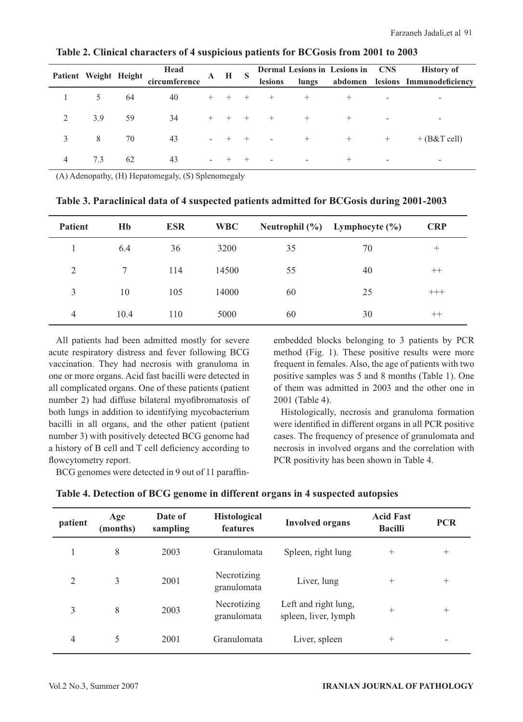|                | Patient Weight Height |    | Head          | $\mathbf{A}$     | H S |        |                          |                          | Dermal Lesions in Lesions in CNS |                          | <b>History of</b>                |
|----------------|-----------------------|----|---------------|------------------|-----|--------|--------------------------|--------------------------|----------------------------------|--------------------------|----------------------------------|
|                |                       |    | circumference |                  |     |        | lesions                  | lungs                    |                                  |                          | abdomen lesions Immunodeficiency |
|                | 5                     | 64 | 40            | $+$              |     |        |                          |                          | $^+$                             |                          | $\overline{\phantom{0}}$         |
| $\mathfrak{D}$ | 3.9                   | 59 | 34            | $^{+}$           |     |        |                          |                          | $^{+}$                           | $\overline{\phantom{0}}$ | $\overline{\phantom{a}}$         |
| 3              | 8                     | 70 | 43            |                  |     | $^+$   | $\overline{\phantom{a}}$ | $+$                      | $^{+}$                           | $^{+}$                   | $+ (B & T$ cell)                 |
| 4              | 7.3                   | 62 | 43            | $\sim$ 100 $\mu$ |     | $^{+}$ |                          | $\overline{\phantom{0}}$ | $\pm$                            | $\overline{\phantom{0}}$ | $\overline{\phantom{a}}$         |

#### **Table 2. Clinical characters of 4 suspicious patients for BCGosis from 2001 to 2003**

(A) Adenopathy, (H) Hepatomegaly, (S) Splenomegaly

| <b>Patient</b> | Hb     | <b>ESR</b> | <b>WBC</b> |    | Neutrophil (%) Lymphocyte (%) | <b>CRP</b> |
|----------------|--------|------------|------------|----|-------------------------------|------------|
|                | 6.4    | 36         | 3200       | 35 | 70                            | $^{+}$     |
| 2              | $\tau$ | 114        | 14500      | 55 | 40                            | $^{++}$    |
| 3              | 10     | 105        | 14000      | 60 | 25                            | $+++$      |
| $\overline{4}$ | 10.4   | 110        | 5000       | 60 | 30                            | $++$       |

**Table 3. Paraclinical data of 4 suspected patients admitted for BCGosis during 2001-2003**

All patients had been admitted mostly for severe acute respiratory distress and fever following BCG vaccination. They had necrosis with granuloma in one or more organs. Acid fast bacilli were detected in all complicated organs. One of these patients (patient number 2) had diffuse bilateral myofibromatosis of both lungs in addition to identifying mycobacterium bacilli in all organs, and the other patient (patient number 3) with positively detected BCG genome had a history of B cell and T cell deficiency according to flowcytometry report.

BCG genomes were detected in 9 out of 11 paraffin-

embedded blocks belonging to 3 patients by PCR method (Fig. 1). These positive results were more frequent in females. Also, the age of patients with two positive samples was 5 and 8 months (Table 1). One of them was admitted in 2003 and the other one in 2001 (Table 4).

Histologically, necrosis and granuloma formation were identified in different organs in all PCR positive cases. The frequency of presence of granulomata and necrosis in involved organs and the correlation with PCR positivity has been shown in Table 4.

| patient | Age<br>(months) | Date of<br>sampling | <b>Histological</b><br><b>features</b> | <b>Involved organs</b>                       | <b>Acid Fast</b><br><b>Bacilli</b> | <b>PCR</b>               |
|---------|-----------------|---------------------|----------------------------------------|----------------------------------------------|------------------------------------|--------------------------|
|         | 8               | 2003                | Granulomata                            | Spleen, right lung                           | $^{+}$                             | $^{+}$                   |
| 2       | 3               | 2001                | Necrotizing<br>granulomata             | Liver, lung                                  | $^{+}$                             | $^{+}$                   |
| 3       | 8               | 2003                | Necrotizing<br>granulomata             | Left and right lung,<br>spleen, liver, lymph | $^{+}$                             | $^{+}$                   |
| 4       | 5               | 2001                | Granulomata                            | Liver, spleen                                | $^{+}$                             | $\overline{\phantom{a}}$ |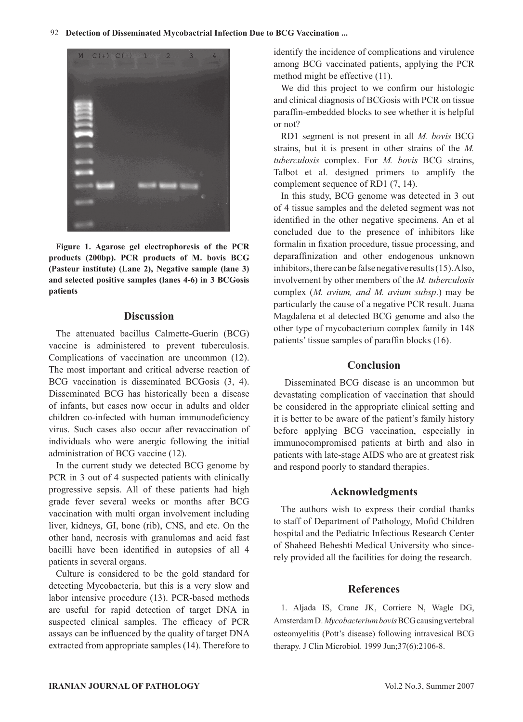#### 92 **Detection of Disseminated Mycobactrial Infection Due to BCG Vaccination ...**



**Figure 1. Agarose gel electrophoresis of the PCR products (200bp). PCR products of M. bovis BCG (Pasteur institute) (Lane 2), Negative sample (lane 3) and selected positive samples (lanes 4-6) in 3 BCGosis patients**

#### **Discussion**

The attenuated bacillus Calmette-Guerin (BCG) vaccine is administered to prevent tuberculosis. Complications of vaccination are uncommon (12). The most important and critical adverse reaction of BCG vaccination is disseminated BCGosis (3, 4). Disseminated BCG has historically been a disease of infants, but cases now occur in adults and older children co-infected with human immunodeficiency virus. Such cases also occur after revaccination of individuals who were anergic following the initial administration of BCG vaccine (12).

In the current study we detected BCG genome by PCR in 3 out of 4 suspected patients with clinically progressive sepsis. All of these patients had high grade fever several weeks or months after BCG vaccination with multi organ involvement including liver, kidneys, GI, bone (rib), CNS, and etc. On the other hand, necrosis with granulomas and acid fast bacilli have been identified in autopsies of all 4 patients in several organs.

Culture is considered to be the gold standard for detecting Mycobacteria, but this is a very slow and labor intensive procedure (13). PCR-based methods are useful for rapid detection of target DNA in suspected clinical samples. The efficacy of PCR assays can be influenced by the quality of target DNA extracted from appropriate samples (14). Therefore to identify the incidence of complications and virulence among BCG vaccinated patients, applying the PCR method might be effective (11).

We did this project to we confirm our histologic and clinical diagnosis of BCGosis with PCR on tissue paraffin-embedded blocks to see whether it is helpful or not?

RD1 segment is not present in all *M. bovis* BCG strains, but it is present in other strains of the *M. tuberculosis* complex. For *M. bovis* BCG strains, Talbot et al. designed primers to amplify the complement sequence of RD1 (7, 14).

In this study, BCG genome was detected in 3 out of 4 tissue samples and the deleted segment was not identified in the other negative specimens. An et al concluded due to the presence of inhibitors like formalin in fixation procedure, tissue processing, and deparaffinization and other endogenous unknown inhibitors, there can be false negative results (15). Also, involvement by other members of the *M. tuberculosis* complex (*M. avium, and M. avium subsp*.) may be particularly the cause of a negative PCR result. Juana Magdalena et al detected BCG genome and also the other type of mycobacterium complex family in 148 patients' tissue samples of paraffin blocks (16).

#### **Conclusion**

 Disseminated BCG disease is an uncommon but devastating complication of vaccination that should be considered in the appropriate clinical setting and it is better to be aware of the patient's family history before applying BCG vaccination, especially in immunocompromised patients at birth and also in patients with late-stage AIDS who are at greatest risk and respond poorly to standard therapies.

#### **Acknowledgments**

The authors wish to express their cordial thanks to staff of Department of Pathology, Mofid Children hospital and the Pediatric Infectious Research Center of Shaheed Beheshti Medical University who sincerely provided all the facilities for doing the research.

#### **References**

1. Aljada IS, Crane JK, Corriere N, Wagle DG, Amsterdam D. *Mycobacterium bovis* BCG causing vertebral osteomyelitis (Pott's disease) following intravesical BCG therapy. J Clin Microbiol. 1999 Jun;37(6):2106-8.